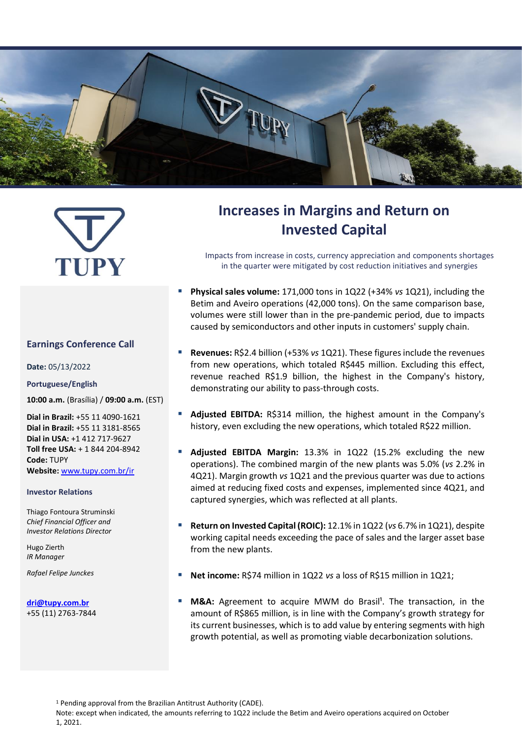

# TUPY

#### **Earnings Conference Call**

**Date:** 05/13/2022

#### **Portuguese/English**

**10:00 a.m.** (Brasília) / **09:00 a.m.** (EST)

**Dial in Brazil:** +55 11 4090-1621 **Dial in Brazil:** +55 11 3181-8565 **Dial in USA:** +1 412 717-9627 **Toll free USA:** + 1 844 204-8942 **Code:** TUPY **Website:** [www.tupy.com.br/ir](http://www.tupy.com.br/ri)

#### **Investor Relations**

Thiago Fontoura Struminski *Chief Financial Officer and Investor Relations Director*

Hugo Zierth *IR Manager*

*Rafael Felipe Junckes*

**[dri@tupy.com.br](mailto:dri@tupy.com.br)** +55 (11) 2763-7844

# **Increases in Margins and Return on Invested Capital**

Impacts from increase in costs, currency appreciation and components shortages in the quarter were mitigated by cost reduction initiatives and synergies

- **Physical sales volume:** 171,000 tons in 1Q22 (+34% *vs* 1Q21), including the Betim and Aveiro operations (42,000 tons). On the same comparison base, volumes were still lower than in the pre-pandemic period, due to impacts caused by semiconductors and other inputs in customers' supply chain.
- **Revenues:** R\$2.4 billion (+53% *vs* 1Q21). These figures include the revenues from new operations, which totaled R\$445 million. Excluding this effect, revenue reached R\$1.9 billion, the highest in the Company's history, demonstrating our ability to pass-through costs.
- Adjusted EBITDA: R\$314 million, the highest amount in the Company's history, even excluding the new operations, which totaled R\$22 million.
- **Adjusted EBITDA Margin:** 13.3% in 1Q22 (15.2% excluding the new operations). The combined margin of the new plants was 5.0% (*vs* 2.2% in 4Q21). Margin growth *vs* 1Q21 and the previous quarter was due to actions aimed at reducing fixed costs and expenses, implemented since 4Q21, and captured synergies, which was reflected at all plants.
- **Return on Invested Capital (ROIC):** 12.1% in 1Q22 (*vs* 6.7% in 1Q21), despite working capital needs exceeding the pace of sales and the larger asset base from the new plants.
- **Net income:** R\$74 million in 1Q22 *vs* a loss of R\$15 million in 1Q21;
- M&A: Agreement to acquire MWM do Brasil<sup>1</sup>. The transaction, in the amount of R\$865 million, is in line with the Company's growth strategy for its current businesses, which is to add value by entering segments with high growth potential, as well as promoting viable decarbonization solutions.

<sup>1</sup> Pending approval from the Brazilian Antitrust Authority (CADE).

Note: except when indicated, the amounts referring to 1Q22 include the Betim and Aveiro operations acquired on October 1, 2021.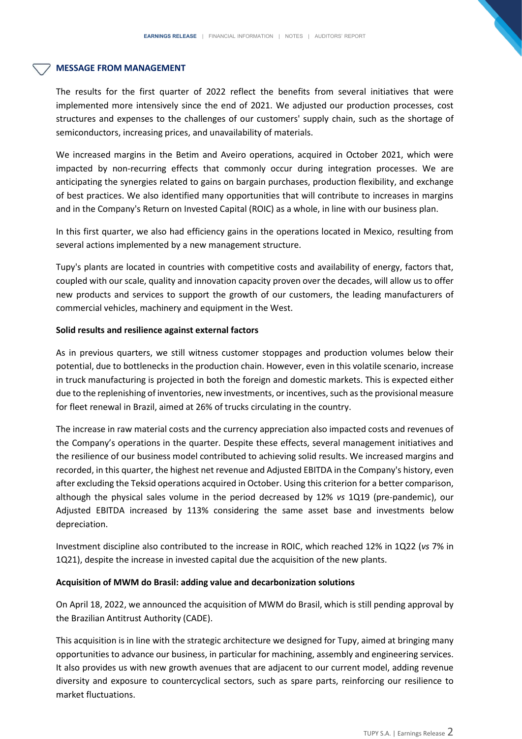#### **MESSAGE FROM MANAGEMENT**

The results for the first quarter of 2022 reflect the benefits from several initiatives that were implemented more intensively since the end of 2021. We adjusted our production processes, cost structures and expenses to the challenges of our customers' supply chain, such as the shortage of semiconductors, increasing prices, and unavailability of materials.

We increased margins in the Betim and Aveiro operations, acquired in October 2021, which were impacted by non-recurring effects that commonly occur during integration processes. We are anticipating the synergies related to gains on bargain purchases, production flexibility, and exchange of best practices. We also identified many opportunities that will contribute to increases in margins and in the Company's Return on Invested Capital (ROIC) as a whole, in line with our business plan.

In this first quarter, we also had efficiency gains in the operations located in Mexico, resulting from several actions implemented by a new management structure.

Tupy's plants are located in countries with competitive costs and availability of energy, factors that, coupled with our scale, quality and innovation capacity proven over the decades, will allow us to offer new products and services to support the growth of our customers, the leading manufacturers of commercial vehicles, machinery and equipment in the West.

#### **Solid results and resilience against external factors**

As in previous quarters, we still witness customer stoppages and production volumes below their potential, due to bottlenecks in the production chain. However, even in this volatile scenario, increase in truck manufacturing is projected in both the foreign and domestic markets. This is expected either due to the replenishing of inventories, new investments, or incentives, such as the provisional measure for fleet renewal in Brazil, aimed at 26% of trucks circulating in the country.

The increase in raw material costs and the currency appreciation also impacted costs and revenues of the Company's operations in the quarter. Despite these effects, several management initiatives and the resilience of our business model contributed to achieving solid results. We increased margins and recorded, in this quarter, the highest net revenue and Adjusted EBITDA in the Company's history, even after excluding the Teksid operations acquired in October. Using this criterion for a better comparison, although the physical sales volume in the period decreased by 12% *vs* 1Q19 (pre-pandemic), our Adjusted EBITDA increased by 113% considering the same asset base and investments below depreciation.

Investment discipline also contributed to the increase in ROIC, which reached 12% in 1Q22 (*vs* 7% in 1Q21), despite the increase in invested capital due the acquisition of the new plants.

#### **Acquisition of MWM do Brasil: adding value and decarbonization solutions**

On April 18, 2022, we announced the acquisition of MWM do Brasil, which is still pending approval by the Brazilian Antitrust Authority (CADE).

This acquisition is in line with the strategic architecture we designed for Tupy, aimed at bringing many opportunities to advance our business, in particular for machining, assembly and engineering services. It also provides us with new growth avenues that are adjacent to our current model, adding revenue diversity and exposure to countercyclical sectors, such as spare parts, reinforcing our resilience to market fluctuations.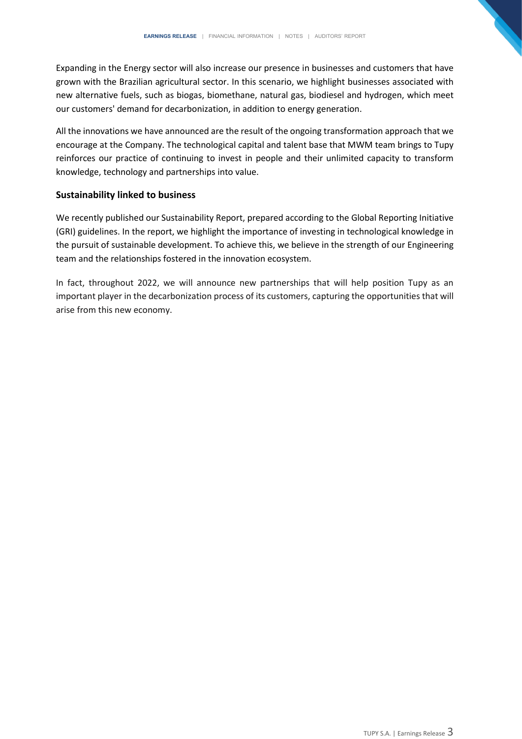Expanding in the Energy sector will also increase our presence in businesses and customers that have grown with the Brazilian agricultural sector. In this scenario, we highlight businesses associated with new alternative fuels, such as biogas, biomethane, natural gas, biodiesel and hydrogen, which meet our customers' demand for decarbonization, in addition to energy generation.

All the innovations we have announced are the result of the ongoing transformation approach that we encourage at the Company. The technological capital and talent base that MWM team brings to Tupy reinforces our practice of continuing to invest in people and their unlimited capacity to transform knowledge, technology and partnerships into value.

#### **Sustainability linked to business**

We recently published our Sustainability Report, prepared according to the Global Reporting Initiative (GRI) guidelines. In the report, we highlight the importance of investing in technological knowledge in the pursuit of sustainable development. To achieve this, we believe in the strength of our Engineering team and the relationships fostered in the innovation ecosystem.

In fact, throughout 2022, we will announce new partnerships that will help position Tupy as an important player in the decarbonization process of its customers, capturing the opportunities that will arise from this new economy.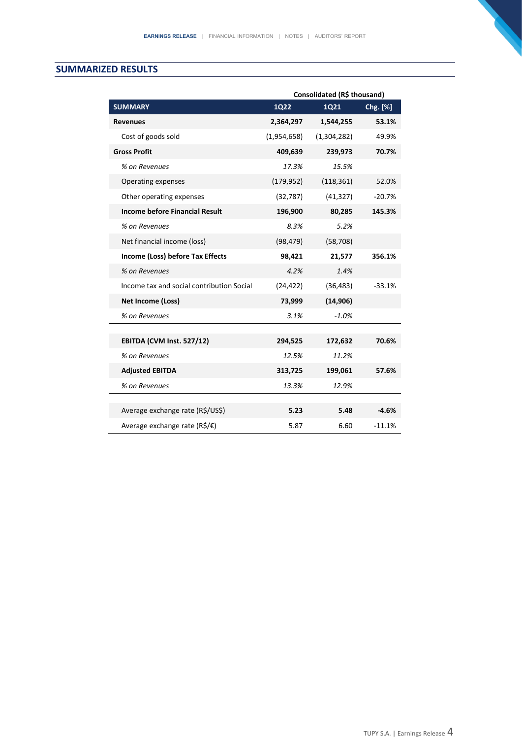#### **SUMMARIZED RESULTS**

|                                                           | Consolidated (R\$ thousand) |             |          |  |
|-----------------------------------------------------------|-----------------------------|-------------|----------|--|
| <b>SUMMARY</b>                                            | <b>1Q22</b>                 | 1Q21        | Chg. [%] |  |
| <b>Revenues</b>                                           | 2,364,297                   | 1,544,255   | 53.1%    |  |
| Cost of goods sold                                        | (1,954,658)                 | (1,304,282) | 49.9%    |  |
| <b>Gross Profit</b>                                       | 409,639                     | 239,973     | 70.7%    |  |
| % on Revenues                                             | 17.3%                       | 15.5%       |          |  |
| Operating expenses                                        | (179, 952)                  | (118, 361)  | 52.0%    |  |
| Other operating expenses                                  | (32, 787)                   | (41, 327)   | $-20.7%$ |  |
| <b>Income before Financial Result</b>                     | 196,900                     | 80,285      | 145.3%   |  |
| % on Revenues                                             | 8.3%                        | 5.2%        |          |  |
| Net financial income (loss)                               | (98, 479)                   | (58, 708)   |          |  |
| Income (Loss) before Tax Effects                          | 98,421                      | 21,577      | 356.1%   |  |
| % on Revenues                                             | 4.2%                        | 1.4%        |          |  |
| Income tax and social contribution Social                 | (24, 422)                   | (36, 483)   | $-33.1%$ |  |
| <b>Net Income (Loss)</b>                                  | 73,999                      | (14, 906)   |          |  |
| % on Revenues                                             | 3.1%                        | $-1.0%$     |          |  |
|                                                           |                             |             |          |  |
| EBITDA (CVM Inst. 527/12)                                 | 294,525                     | 172,632     | 70.6%    |  |
| % on Revenues                                             | 12.5%                       | 11.2%       |          |  |
| <b>Adjusted EBITDA</b>                                    | 313,725                     | 199,061     | 57.6%    |  |
| % on Revenues                                             | 13.3%                       | 12.9%       |          |  |
|                                                           |                             |             |          |  |
| Average exchange rate (R\$/US\$)                          | 5.23                        | 5.48        | $-4.6%$  |  |
| Average exchange rate ( $R\sin\left(\frac{\pi}{2}\right)$ | 5.87                        | 6.60        | $-11.1%$ |  |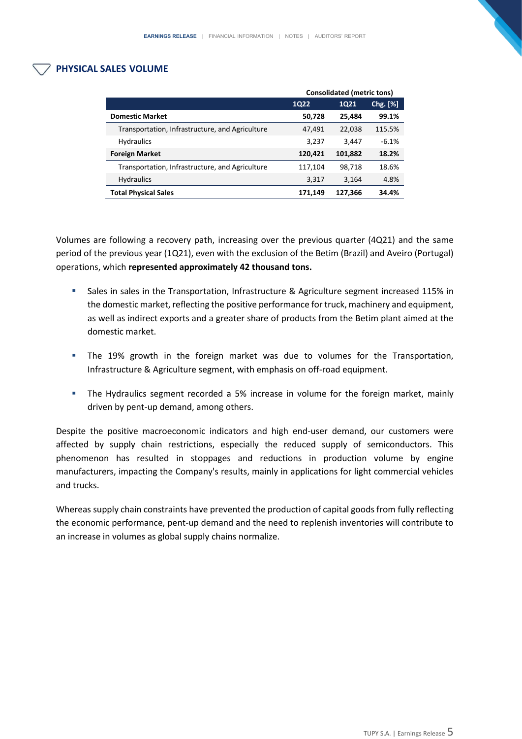#### **PHYSICAL SALES VOLUME**

|                                                 | <b>Consolidated (metric tons)</b> |         |          |
|-------------------------------------------------|-----------------------------------|---------|----------|
|                                                 | <b>1Q22</b>                       | 1Q21    | Chg. [%] |
| <b>Domestic Market</b>                          | 50,728                            | 25,484  | 99.1%    |
| Transportation, Infrastructure, and Agriculture | 47,491                            | 22,038  | 115.5%   |
| <b>Hydraulics</b>                               | 3,237                             | 3,447   | $-6.1%$  |
| <b>Foreign Market</b>                           | 120,421                           | 101,882 | 18.2%    |
| Transportation, Infrastructure, and Agriculture | 117,104                           | 98,718  | 18.6%    |
| <b>Hydraulics</b>                               | 3,317                             | 3,164   | 4.8%     |
| <b>Total Physical Sales</b>                     | 171,149                           | 127,366 | 34.4%    |

Volumes are following a recovery path, increasing over the previous quarter (4Q21) and the same period of the previous year (1Q21), even with the exclusion of the Betim (Brazil) and Aveiro (Portugal) operations, which **represented approximately 42 thousand tons.** 

- Sales in sales in the Transportation, Infrastructure & Agriculture segment increased 115% in the domestic market, reflecting the positive performance for truck, machinery and equipment, as well as indirect exports and a greater share of products from the Betim plant aimed at the domestic market.
- **·** The 19% growth in the foreign market was due to volumes for the Transportation, Infrastructure & Agriculture segment, with emphasis on off-road equipment.
- **•** The Hydraulics segment recorded a 5% increase in volume for the foreign market, mainly driven by pent-up demand, among others.

Despite the positive macroeconomic indicators and high end-user demand, our customers were affected by supply chain restrictions, especially the reduced supply of semiconductors. This phenomenon has resulted in stoppages and reductions in production volume by engine manufacturers, impacting the Company's results, mainly in applications for light commercial vehicles and trucks.

Whereas supply chain constraints have prevented the production of capital goods from fully reflecting the economic performance, pent-up demand and the need to replenish inventories will contribute to an increase in volumes as global supply chains normalize.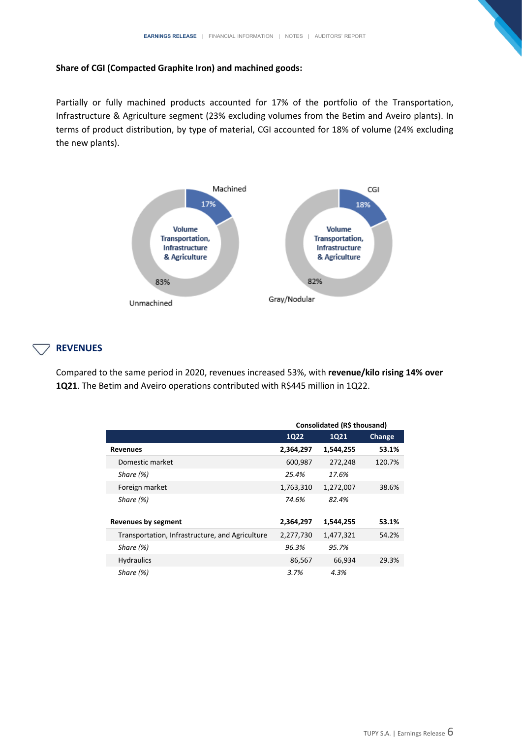#### **Share of CGI (Compacted Graphite Iron) and machined goods:**

Partially or fully machined products accounted for 17% of the portfolio of the Transportation, Infrastructure & Agriculture segment (23% excluding volumes from the Betim and Aveiro plants). In terms of product distribution, by type of material, CGI accounted for 18% of volume (24% excluding the new plants).



#### **REVENUES**

Compared to the same period in 2020, revenues increased 53%, with **revenue/kilo rising 14% over 1Q21**. The Betim and Aveiro operations contributed with R\$445 million in 1Q22.

|                                                 | Consolidated (R\$ thousand) |             |        |  |
|-------------------------------------------------|-----------------------------|-------------|--------|--|
|                                                 | <b>1Q22</b>                 | <b>1Q21</b> | Change |  |
| <b>Revenues</b>                                 | 2,364,297                   | 1,544,255   | 53.1%  |  |
| Domestic market                                 | 600,987                     | 272,248     | 120.7% |  |
| Share (%)                                       | 25.4%                       | 17.6%       |        |  |
| Foreign market                                  | 1,763,310                   | 1,272,007   | 38.6%  |  |
| Share $(%)$                                     | 74.6%                       | 82.4%       |        |  |
|                                                 |                             |             |        |  |
| <b>Revenues by segment</b>                      | 2,364,297                   | 1,544,255   | 53.1%  |  |
| Transportation, Infrastructure, and Agriculture | 2,277,730                   | 1,477,321   | 54.2%  |  |
| Share (%)                                       | 96.3%                       | 95.7%       |        |  |
| <b>Hydraulics</b>                               | 86,567                      | 66,934      | 29.3%  |  |
| Share (%)                                       | 3.7%                        | 4.3%        |        |  |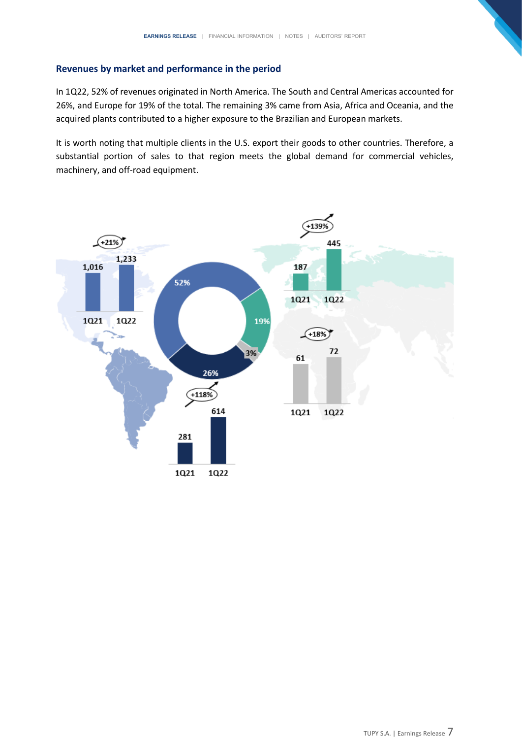#### **Revenues by market and performance in the period**

In 1Q22, 52% of revenues originated in North America. The South and Central Americas accounted for 26%, and Europe for 19% of the total. The remaining 3% came from Asia, Africa and Oceania, and the acquired plants contributed to a higher exposure to the Brazilian and European markets.

It is worth noting that multiple clients in the U.S. export their goods to other countries. Therefore, a substantial portion of sales to that region meets the global demand for commercial vehicles, machinery, and off-road equipment.

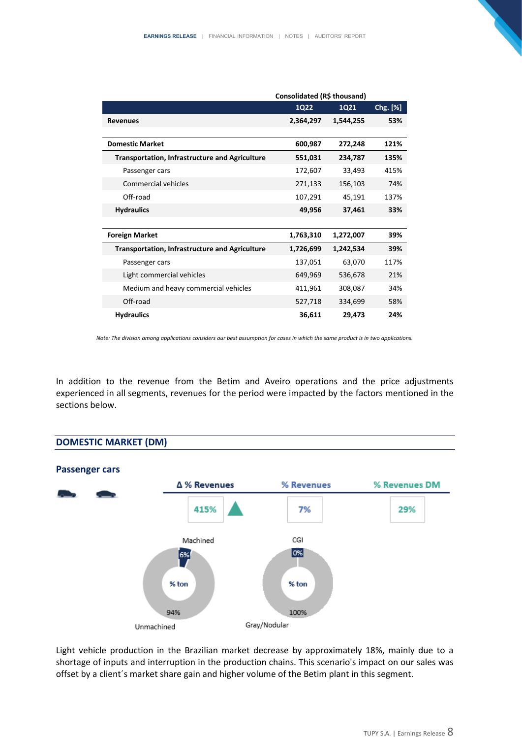|                                                       | Consolidated (R\$ thousand) |           |          |  |
|-------------------------------------------------------|-----------------------------|-----------|----------|--|
|                                                       | 1Q22                        | 1Q21      | Chg. [%] |  |
| <b>Revenues</b>                                       | 2,364,297                   | 1,544,255 | 53%      |  |
|                                                       |                             |           |          |  |
| <b>Domestic Market</b>                                | 600,987                     | 272,248   | 121%     |  |
| <b>Transportation, Infrastructure and Agriculture</b> | 551,031                     | 234,787   | 135%     |  |
| Passenger cars                                        | 172,607                     | 33,493    | 415%     |  |
| <b>Commercial vehicles</b>                            | 271,133                     | 156,103   | 74%      |  |
| Off-road                                              | 107,291                     | 45,191    | 137%     |  |
| <b>Hydraulics</b>                                     | 49,956                      | 37,461    | 33%      |  |
|                                                       |                             |           |          |  |
| <b>Foreign Market</b>                                 | 1,763,310                   | 1,272,007 | 39%      |  |
| <b>Transportation, Infrastructure and Agriculture</b> | 1,726,699                   | 1,242,534 | 39%      |  |
| Passenger cars                                        | 137,051                     | 63,070    | 117%     |  |
| Light commercial vehicles                             | 649,969                     | 536,678   | 21%      |  |
| Medium and heavy commercial vehicles                  | 411,961                     | 308,087   | 34%      |  |
| Off-road                                              | 527,718                     | 334,699   | 58%      |  |
| <b>Hydraulics</b>                                     | 36,611                      | 29,473    | 24%      |  |

*Note: The division among applications considers our best assumption for cases in which the same product is in two applications.*

In addition to the revenue from the Betim and Aveiro operations and the price adjustments experienced in all segments, revenues for the period were impacted by the factors mentioned in the sections below.



Light vehicle production in the Brazilian market decrease by approximately 18%, mainly due to a shortage of inputs and interruption in the production chains. This scenario's impact on our sales was offset by a client´s market share gain and higher volume of the Betim plant in this segment.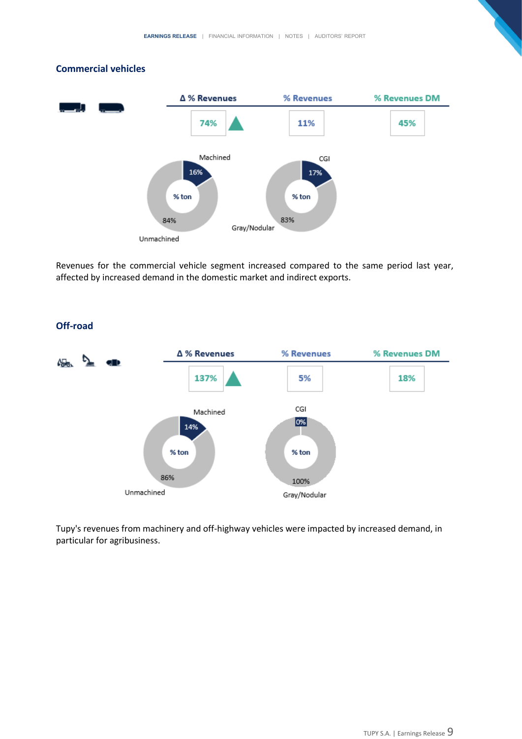#### **Commercial vehicles**



Revenues for the commercial vehicle segment increased compared to the same period last year, affected by increased demand in the domestic market and indirect exports.



Tupy's revenues from machinery and off-highway vehicles were impacted by increased demand, in particular for agribusiness.

#### **Off-road**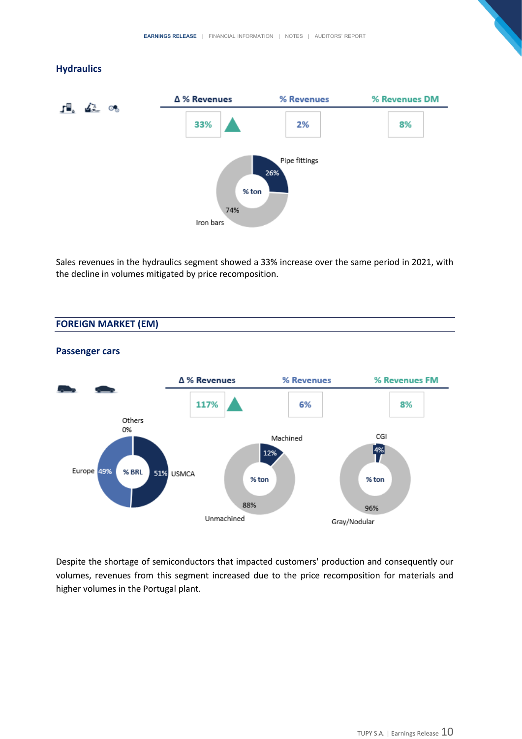#### **Hydraulics**



Sales revenues in the hydraulics segment showed a 33% increase over the same period in 2021, with the decline in volumes mitigated by price recomposition.

#### **FOREIGN MARKET (EM)**



#### **Passenger cars**

Despite the shortage of semiconductors that impacted customers' production and consequently our volumes, revenues from this segment increased due to the price recomposition for materials and higher volumes in the Portugal plant.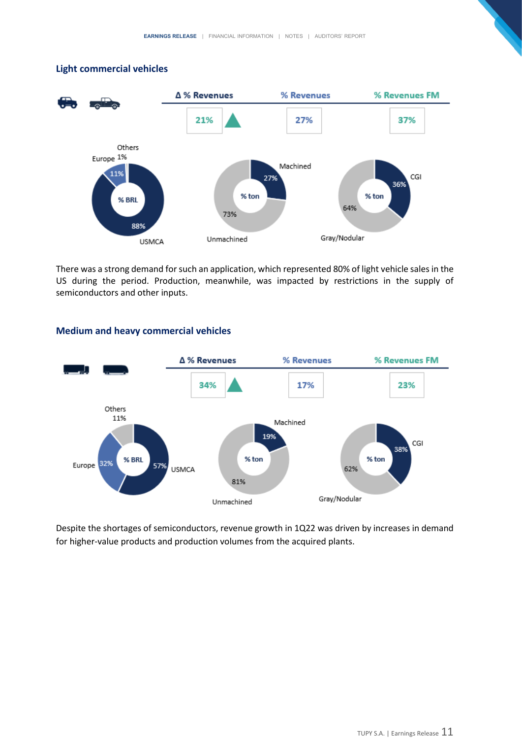#### **Light commercial vehicles**



There was a strong demand for such an application, which represented 80% of light vehicle sales in the US during the period. Production, meanwhile, was impacted by restrictions in the supply of semiconductors and other inputs.



#### **Medium and heavy commercial vehicles**

Despite the shortages of semiconductors, revenue growth in 1Q22 was driven by increases in demand for higher-value products and production volumes from the acquired plants.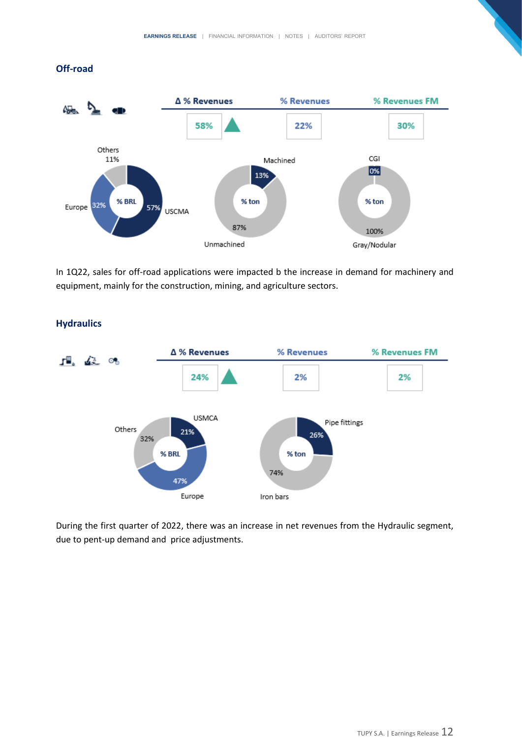#### **Off-road**



In 1Q22, sales for off-road applications were impacted b the increase in demand for machinery and equipment, mainly for the construction, mining, and agriculture sectors.



#### **Hydraulics**

During the first quarter of 2022, there was an increase in net revenues from the Hydraulic segment, due to pent-up demand and price adjustments.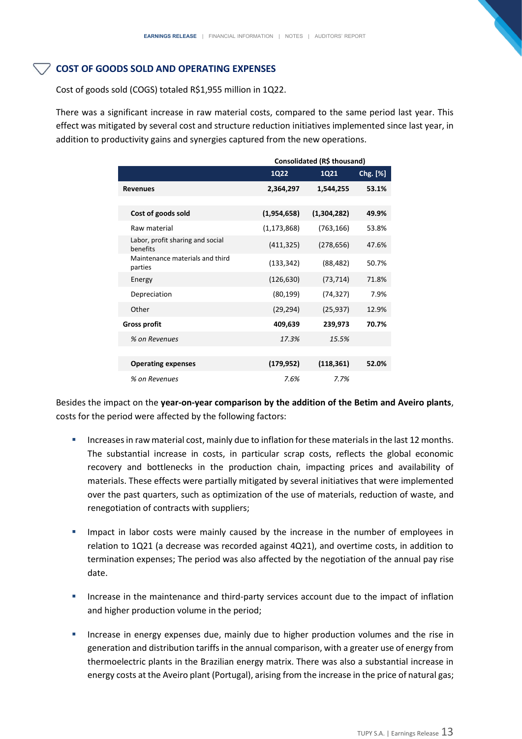#### **COST OF GOODS SOLD AND OPERATING EXPENSES**

Cost of goods sold (COGS) totaled R\$1,955 million in 1Q22.

There was a significant increase in raw material costs, compared to the same period last year. This effect was mitigated by several cost and structure reduction initiatives implemented since last year, in addition to productivity gains and synergies captured from the new operations.

|                                              | Consolidated (R\$ thousand) |             |          |  |
|----------------------------------------------|-----------------------------|-------------|----------|--|
|                                              | 1Q22                        | 1Q21        | Chg. [%] |  |
| <b>Revenues</b>                              | 2,364,297                   | 1,544,255   | 53.1%    |  |
|                                              |                             |             |          |  |
| Cost of goods sold                           | (1,954,658)                 | (1,304,282) | 49.9%    |  |
| Raw material                                 | (1, 173, 868)               | (763, 166)  | 53.8%    |  |
| Labor, profit sharing and social<br>benefits | (411, 325)                  | (278, 656)  | 47.6%    |  |
| Maintenance materials and third<br>parties   | (133, 342)                  | (88, 482)   | 50.7%    |  |
| Energy                                       | (126, 630)                  | (73,714)    | 71.8%    |  |
| Depreciation                                 | (80, 199)                   | (74,327)    | 7.9%     |  |
| Other                                        | (29, 294)                   | (25, 937)   | 12.9%    |  |
| <b>Gross profit</b>                          | 409,639                     | 239,973     | 70.7%    |  |
| % on Revenues                                | 17.3%                       | 15.5%       |          |  |
|                                              |                             |             |          |  |
| <b>Operating expenses</b>                    | (179, 952)                  | (118, 361)  | 52.0%    |  |
| % on Revenues                                | 7.6%                        | 7.7%        |          |  |

Besides the impact on the **year-on-year comparison by the addition of the Betim and Aveiro plants**, costs for the period were affected by the following factors:

- **E** Increases in raw material cost, mainly due to inflation for these materials in the last 12 months. The substantial increase in costs, in particular scrap costs, reflects the global economic recovery and bottlenecks in the production chain, impacting prices and availability of materials. These effects were partially mitigated by several initiatives that were implemented over the past quarters, such as optimization of the use of materials, reduction of waste, and renegotiation of contracts with suppliers;
- Impact in labor costs were mainly caused by the increase in the number of employees in relation to 1Q21 (a decrease was recorded against 4Q21), and overtime costs, in addition to termination expenses; The period was also affected by the negotiation of the annual pay rise date.
- Increase in the maintenance and third-party services account due to the impact of inflation and higher production volume in the period;
- Increase in energy expenses due, mainly due to higher production volumes and the rise in generation and distribution tariffs in the annual comparison, with a greater use of energy from thermoelectric plants in the Brazilian energy matrix. There was also a substantial increase in energy costs at the Aveiro plant (Portugal), arising from the increase in the price of natural gas;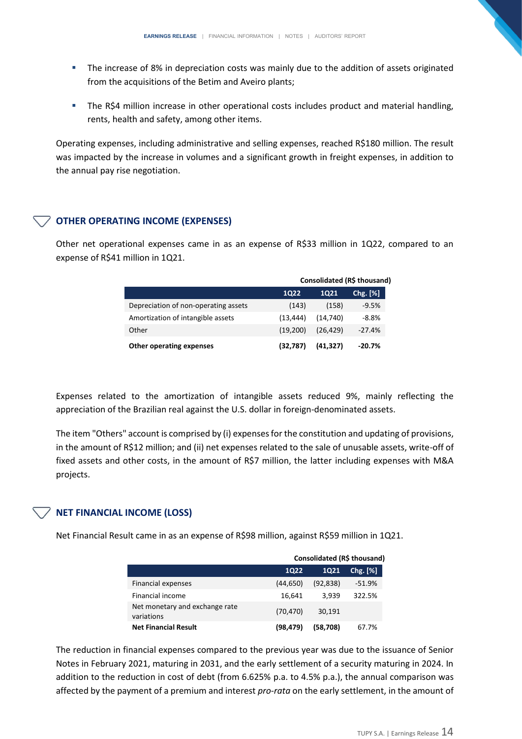- The increase of 8% in depreciation costs was mainly due to the addition of assets originated from the acquisitions of the Betim and Aveiro plants;
- **EXECT FIME R\$4 million increase in other operational costs includes product and material handling,** rents, health and safety, among other items.

Operating expenses, including administrative and selling expenses, reached R\$180 million. The result was impacted by the increase in volumes and a significant growth in freight expenses, in addition to the annual pay rise negotiation.

#### **OTHER OPERATING INCOME (EXPENSES)**

Other net operational expenses came in as an expense of R\$33 million in 1Q22, compared to an expense of R\$41 million in 1Q21.

|                                      | Consolidated (R\$ thousand) |           |            |  |
|--------------------------------------|-----------------------------|-----------|------------|--|
|                                      | 1022                        | 1021      | $Chg.$ [%] |  |
| Depreciation of non-operating assets | (143)                       | (158)     | $-9.5%$    |  |
| Amortization of intangible assets    | (13.444)                    | (14.740)  | $-8.8%$    |  |
| Other                                | (19.200)                    | (26, 429) | $-27.4%$   |  |
| <b>Other operating expenses</b>      | (32,787)                    | (41, 327) | $-20.7%$   |  |

Expenses related to the amortization of intangible assets reduced 9%, mainly reflecting the appreciation of the Brazilian real against the U.S. dollar in foreign-denominated assets.

The item "Others" account is comprised by (i) expenses for the constitution and updating of provisions, in the amount of R\$12 million; and (ii) net expenses related to the sale of unusable assets, write-off of fixed assets and other costs, in the amount of R\$7 million, the latter including expenses with M&A projects.

#### **NET FINANCIAL INCOME (LOSS)**

Net Financial Result came in as an expense of R\$98 million, against R\$59 million in 1Q21.

|                                              | Consolidated (R\$ thousand) |           |               |  |
|----------------------------------------------|-----------------------------|-----------|---------------|--|
|                                              | <b>1Q22</b>                 | 1021      | $Chg.$ $[\%]$ |  |
| <b>Financial expenses</b>                    | (44, 650)                   | (92, 838) | $-51.9%$      |  |
| Financial income                             | 16,641                      | 3.939     | 322.5%        |  |
| Net monetary and exchange rate<br>variations | (70, 470)                   | 30,191    |               |  |
| <b>Net Financial Result</b>                  | (98, 479)                   | (58.708)  | 67.7%         |  |

The reduction in financial expenses compared to the previous year was due to the issuance of Senior Notes in February 2021, maturing in 2031, and the early settlement of a security maturing in 2024. In addition to the reduction in cost of debt (from 6.625% p.a. to 4.5% p.a.), the annual comparison was affected by the payment of a premium and interest *pro-rata* on the early settlement, in the amount of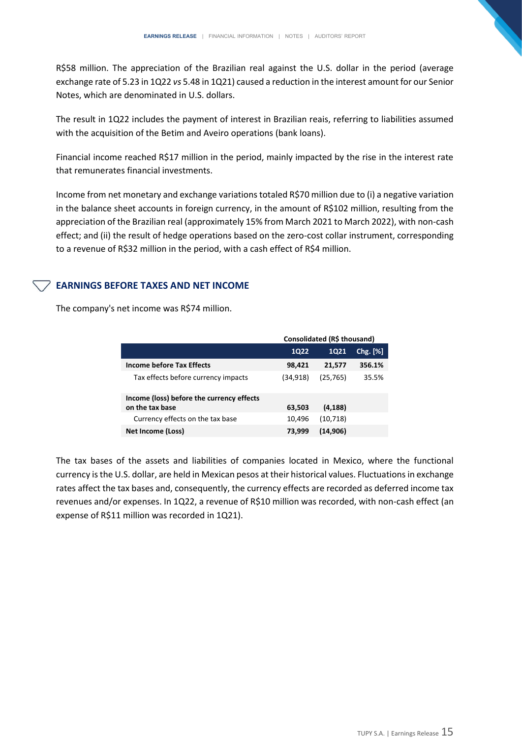R\$58 million. The appreciation of the Brazilian real against the U.S. dollar in the period (average exchange rate of 5.23 in 1Q22 *vs* 5.48 in 1Q21) caused a reduction in the interest amount for our Senior Notes, which are denominated in U.S. dollars.

The result in 1Q22 includes the payment of interest in Brazilian reais, referring to liabilities assumed with the acquisition of the Betim and Aveiro operations (bank loans).

Financial income reached R\$17 million in the period, mainly impacted by the rise in the interest rate that remunerates financial investments.

Income from net monetary and exchange variations totaled R\$70 million due to (i) a negative variation in the balance sheet accounts in foreign currency, in the amount of R\$102 million, resulting from the appreciation of the Brazilian real (approximately 15% from March 2021 to March 2022), with non-cash effect; and (ii) the result of hedge operations based on the zero-cost collar instrument, corresponding to a revenue of R\$32 million in the period, with a cash effect of R\$4 million.

#### **EARNINGS BEFORE TAXES AND NET INCOME**

The company's net income was R\$74 million.

|                                           | Consolidated (R\$ thousand) |           |            |  |  |
|-------------------------------------------|-----------------------------|-----------|------------|--|--|
|                                           | <b>1Q22</b>                 | 1021      | $Chg.$ [%] |  |  |
| Income before Tax Effects                 | 98,421                      | 21,577    | 356.1%     |  |  |
| Tax effects before currency impacts       | (34.918)                    | (25, 765) | 35.5%      |  |  |
| Income (loss) before the currency effects |                             |           |            |  |  |
| on the tax base                           | 63,503                      | (4, 188)  |            |  |  |
| Currency effects on the tax base          | 10,496                      | (10, 718) |            |  |  |
| Net Income (Loss)                         | 73.999                      | (14, 906) |            |  |  |

The tax bases of the assets and liabilities of companies located in Mexico, where the functional currency is the U.S. dollar, are held in Mexican pesos at their historical values. Fluctuations in exchange rates affect the tax bases and, consequently, the currency effects are recorded as deferred income tax revenues and/or expenses. In 1Q22, a revenue of R\$10 million was recorded, with non-cash effect (an expense of R\$11 million was recorded in 1Q21).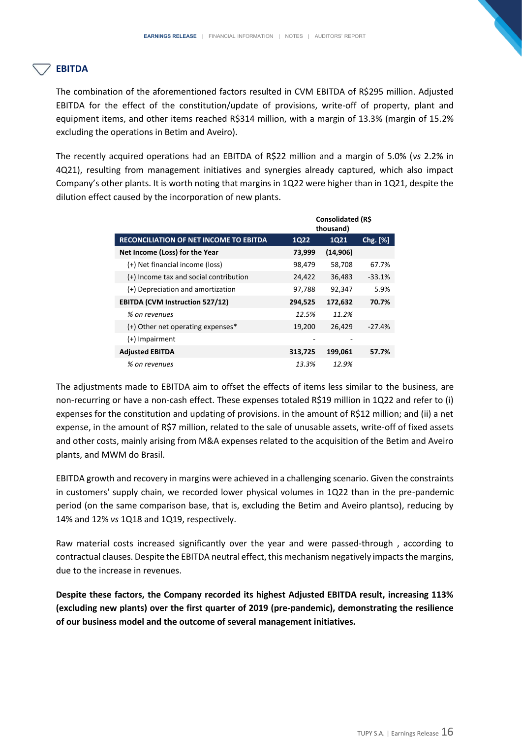#### **EBITDA**

The combination of the aforementioned factors resulted in CVM EBITDA of R\$295 million. Adjusted EBITDA for the effect of the constitution/update of provisions, write-off of property, plant and equipment items, and other items reached R\$314 million, with a margin of 13.3% (margin of 15.2% excluding the operations in Betim and Aveiro).

The recently acquired operations had an EBITDA of R\$22 million and a margin of 5.0% (*vs* 2.2% in 4Q21), resulting from management initiatives and synergies already captured, which also impact Company's other plants. It is worth noting that margins in 1Q22 were higher than in 1Q21, despite the dilution effect caused by the incorporation of new plants.

|                                               | Consolidated (R\$<br>thousand) |             |          |
|-----------------------------------------------|--------------------------------|-------------|----------|
| <b>RECONCILIATION OF NET INCOME TO EBITDA</b> | <b>1Q22</b>                    | <b>1Q21</b> | Chg. [%] |
| Net Income (Loss) for the Year                | 73,999                         | (14, 906)   |          |
| (+) Net financial income (loss)               | 98,479                         | 58,708      | 67.7%    |
| (+) Income tax and social contribution        | 24,422                         | 36,483      | $-33.1%$ |
| (+) Depreciation and amortization             | 97,788                         | 92,347      | 5.9%     |
| <b>EBITDA (CVM Instruction 527/12)</b>        | 294,525                        | 172,632     | 70.7%    |
| % on revenues                                 | 12.5%                          | 11.2%       |          |
| (+) Other net operating expenses*             | 19,200                         | 26,429      | $-27.4%$ |
| (+) Impairment                                |                                |             |          |
| <b>Adjusted EBITDA</b>                        | 313,725                        | 199,061     | 57.7%    |
| % on revenues                                 | 13.3%                          | 12.9%       |          |

The adjustments made to EBITDA aim to offset the effects of items less similar to the business, are non-recurring or have a non-cash effect. These expenses totaled R\$19 million in 1Q22 and refer to (i) expenses for the constitution and updating of provisions. in the amount of R\$12 million; and (ii) a net expense, in the amount of R\$7 million, related to the sale of unusable assets, write-off of fixed assets and other costs, mainly arising from M&A expenses related to the acquisition of the Betim and Aveiro plants, and MWM do Brasil.

EBITDA growth and recovery in margins were achieved in a challenging scenario. Given the constraints in customers' supply chain, we recorded lower physical volumes in 1Q22 than in the pre-pandemic period (on the same comparison base, that is, excluding the Betim and Aveiro plantso), reducing by 14% and 12% *vs* 1Q18 and 1Q19, respectively.

Raw material costs increased significantly over the year and were passed-through , according to contractual clauses. Despite the EBITDA neutral effect, this mechanism negatively impacts the margins, due to the increase in revenues.

**Despite these factors, the Company recorded its highest Adjusted EBITDA result, increasing 113% (excluding new plants) over the first quarter of 2019 (pre-pandemic), demonstrating the resilience of our business model and the outcome of several management initiatives.**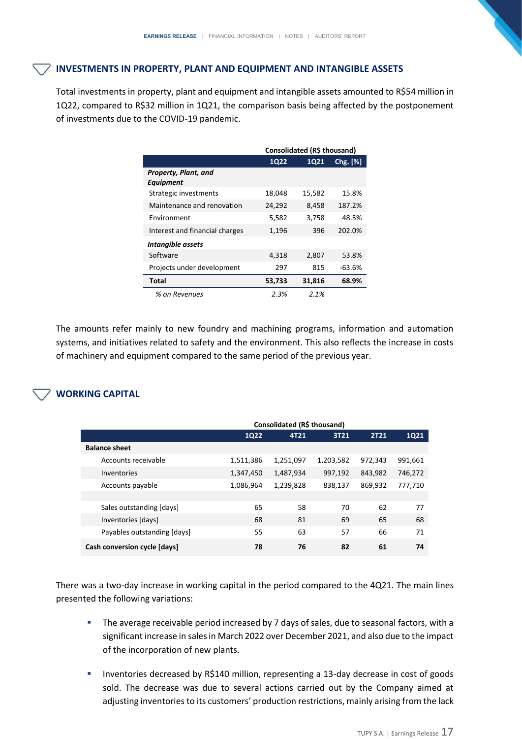#### **INVESTMENTS IN PROPERTY, PLANT AND EQUIPMENT AND INTANGIBLE ASSETS**

Total investments in property, plant and equipment and intangible assets amounted to R\$54 million in 1Q22, compared to R\$32 million in 1Q21, the comparison basis being affected by the postponement of investments due to the COVID-19 pandemic.

|                                          | Consolidated (R\$ thousand) |             |          |  |
|------------------------------------------|-----------------------------|-------------|----------|--|
|                                          | <b>1Q22</b>                 | <b>1Q21</b> | Chg.[%]  |  |
| Property, Plant, and<br><b>Equipment</b> |                             |             |          |  |
| Strategic investments                    | 18,048                      | 15,582      | 15.8%    |  |
| Maintenance and renovation               | 24,292                      | 8,458       | 187.2%   |  |
| <b>Fnvironment</b>                       | 5,582                       | 3,758       | 48.5%    |  |
| Interest and financial charges           | 1,196                       | 396         | 202.0%   |  |
| Intangible assets                        |                             |             |          |  |
| Software                                 | 4,318                       | 2,807       | 53.8%    |  |
| Projects under development               | 297                         | 815         | $-63.6%$ |  |
| Total                                    | 53,733                      | 31,816      | 68.9%    |  |
| % on Revenues                            | 2.3%                        | 2.1%        |          |  |

The amounts refer mainly to new foundry and machining programs, information and automation systems, and initiatives related to safety and the environment. This also reflects the increase in costs of machinery and equipment compared to the same period of the previous year.

# **WORKING CAPITAL**

|                              | Consolidated (R\$ thousand) |           |           |             |         |
|------------------------------|-----------------------------|-----------|-----------|-------------|---------|
|                              | <b>1Q22</b>                 | 4T21      | 3T21      | <b>2T21</b> | 1Q21    |
| <b>Balance sheet</b>         |                             |           |           |             |         |
| Accounts receivable          | 1,511,386                   | 1,251,097 | 1,203,582 | 972,343     | 991,661 |
| Inventories                  | 1,347,450                   | 1,487,934 | 997,192   | 843,982     | 746,272 |
| Accounts payable             | 1,086,964                   | 1,239,828 | 838,137   | 869,932     | 777,710 |
|                              |                             |           |           |             |         |
| Sales outstanding [days]     | 65                          | 58        | 70        | 62          | 77      |
| Inventories [days]           | 68                          | 81        | 69        | 65          | 68      |
| Payables outstanding [days]  | 55                          | 63        | 57        | 66          | 71      |
| Cash conversion cycle [days] | 78                          | 76        | 82        | 61          | 74      |

There was a two-day increase in working capital in the period compared to the 4Q21. The main lines presented the following variations:

- **The average receivable period increased by 7 days of sales, due to seasonal factors, with a** significant increase in sales in March 2022 over December 2021, and also due to the impact of the incorporation of new plants.
- Inventories decreased by R\$140 million, representing a 13-day decrease in cost of goods sold. The decrease was due to several actions carried out by the Company aimed at adjusting inventories to its customers' production restrictions, mainly arising from the lack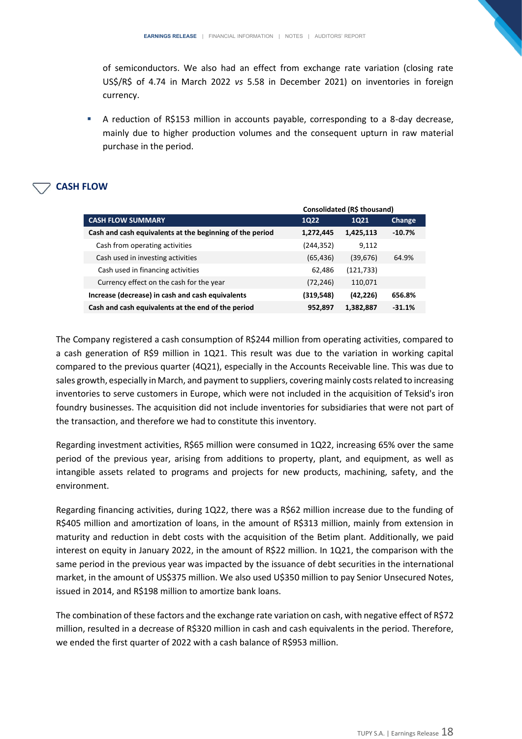of semiconductors. We also had an effect from exchange rate variation (closing rate US\$/R\$ of 4.74 in March 2022 *vs* 5.58 in December 2021) on inventories in foreign currency.

■ A reduction of R\$153 million in accounts payable, corresponding to a 8-day decrease, mainly due to higher production volumes and the consequent upturn in raw material purchase in the period.

#### **CASH FLOW**

|                                                          | Consolidated (R\$ thousand) |             |               |
|----------------------------------------------------------|-----------------------------|-------------|---------------|
| <b>CASH FLOW SUMMARY</b>                                 | <b>1Q22</b>                 | <b>1Q21</b> | <b>Change</b> |
| Cash and cash equivalents at the beginning of the period | 1,272,445                   | 1,425,113   | $-10.7%$      |
| Cash from operating activities                           | (244, 352)                  | 9,112       |               |
| Cash used in investing activities                        | (65, 436)                   | (39, 676)   | 64.9%         |
| Cash used in financing activities                        | 62,486                      | (121, 733)  |               |
| Currency effect on the cash for the year                 | (72, 246)                   | 110,071     |               |
| Increase (decrease) in cash and cash equivalents         | (319, 548)                  | (42, 226)   | 656.8%        |
| Cash and cash equivalents at the end of the period       | 952,897                     | 1,382,887   | $-31.1%$      |
|                                                          |                             |             |               |

The Company registered a cash consumption of R\$244 million from operating activities, compared to a cash generation of R\$9 million in 1Q21. This result was due to the variation in working capital compared to the previous quarter (4Q21), especially in the Accounts Receivable line. This was due to sales growth, especially in March, and payment to suppliers, covering mainly costs related to increasing inventories to serve customers in Europe, which were not included in the acquisition of Teksid's iron foundry businesses. The acquisition did not include inventories for subsidiaries that were not part of the transaction, and therefore we had to constitute this inventory.

Regarding investment activities, R\$65 million were consumed in 1Q22, increasing 65% over the same period of the previous year, arising from additions to property, plant, and equipment, as well as intangible assets related to programs and projects for new products, machining, safety, and the environment.

Regarding financing activities, during 1Q22, there was a R\$62 million increase due to the funding of R\$405 million and amortization of loans, in the amount of R\$313 million, mainly from extension in maturity and reduction in debt costs with the acquisition of the Betim plant. Additionally, we paid interest on equity in January 2022, in the amount of R\$22 million. In 1Q21, the comparison with the same period in the previous year was impacted by the issuance of debt securities in the international market, in the amount of US\$375 million. We also used U\$350 million to pay Senior Unsecured Notes, issued in 2014, and R\$198 million to amortize bank loans.

The combination of these factors and the exchange rate variation on cash, with negative effect of R\$72 million, resulted in a decrease of R\$320 million in cash and cash equivalents in the period. Therefore, we ended the first quarter of 2022 with a cash balance of R\$953 million.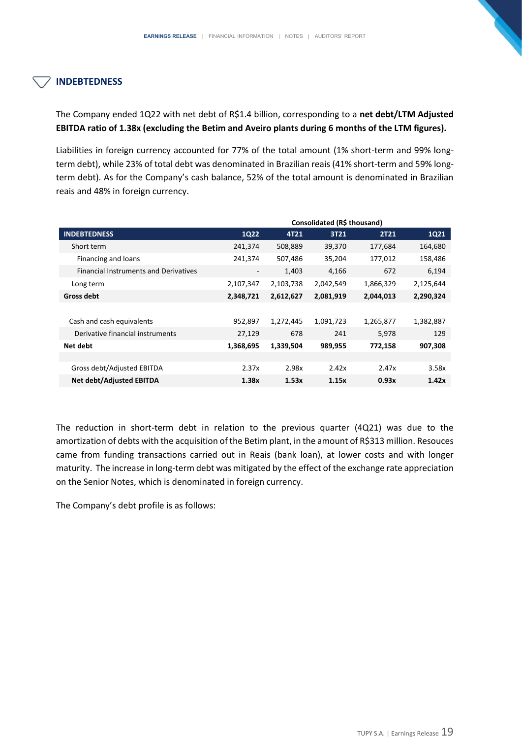#### **INDEBTEDNESS**

The Company ended 1Q22 with net debt of R\$1.4 billion, corresponding to a **net debt/LTM Adjusted EBITDA ratio of 1.38x (excluding the Betim and Aveiro plants during 6 months of the LTM figures).** 

Liabilities in foreign currency accounted for 77% of the total amount (1% short-term and 99% longterm debt), while 23% of total debt was denominated in Brazilian reais (41% short-term and 59% longterm debt). As for the Company's cash balance, 52% of the total amount is denominated in Brazilian reais and 48% in foreign currency.

|                                              | Consolidated (R\$ thousand) |           |           |             |           |
|----------------------------------------------|-----------------------------|-----------|-----------|-------------|-----------|
| <b>INDEBTEDNESS</b>                          | <b>1Q22</b>                 | 4T21      | 3T21      | <b>2T21</b> | 1Q21      |
| Short term                                   | 241,374                     | 508,889   | 39,370    | 177,684     | 164,680   |
| Financing and loans                          | 241,374                     | 507,486   | 35,204    | 177,012     | 158,486   |
| <b>Financial Instruments and Derivatives</b> | -                           | 1,403     | 4,166     | 672         | 6,194     |
| Long term                                    | 2,107,347                   | 2,103,738 | 2,042,549 | 1,866,329   | 2,125,644 |
| Gross debt                                   | 2,348,721                   | 2,612,627 | 2,081,919 | 2,044,013   | 2,290,324 |
|                                              |                             |           |           |             |           |
| Cash and cash equivalents                    | 952,897                     | 1,272,445 | 1,091,723 | 1,265,877   | 1,382,887 |
| Derivative financial instruments             | 27,129                      | 678       | 241       | 5,978       | 129       |
| Net debt                                     | 1,368,695                   | 1,339,504 | 989,955   | 772,158     | 907,308   |
|                                              |                             |           |           |             |           |
| Gross debt/Adjusted EBITDA                   | 2.37x                       | 2.98x     | 2.42x     | 2.47x       | 3.58x     |
| <b>Net debt/Adjusted EBITDA</b>              | 1.38x                       | 1.53x     | 1.15x     | 0.93x       | 1.42x     |

The reduction in short-term debt in relation to the previous quarter (4Q21) was due to the amortization of debts with the acquisition of the Betim plant, in the amount of R\$313 million. Resouces came from funding transactions carried out in Reais (bank loan), at lower costs and with longer maturity. The increase in long-term debt was mitigated by the effect of the exchange rate appreciation on the Senior Notes, which is denominated in foreign currency.

The Company's debt profile is as follows: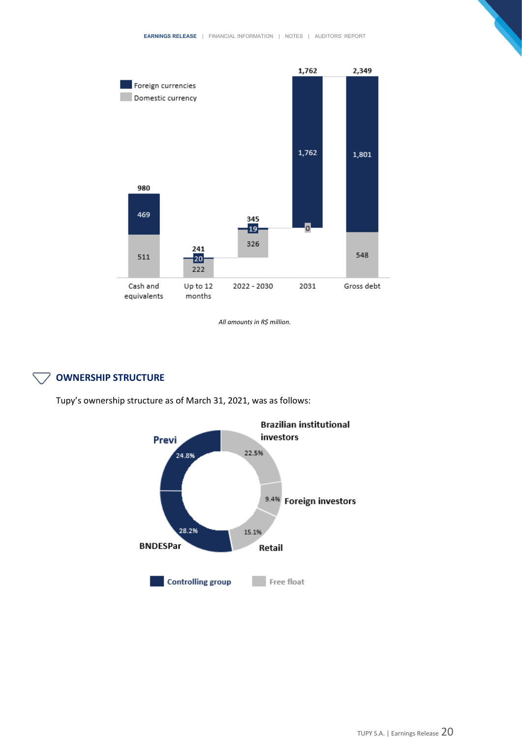

*All amounts in R\$ million.*

# **OWNERSHIP STRUCTURE**

Tupy's ownership structure as of March 31, 2021, was as follows:

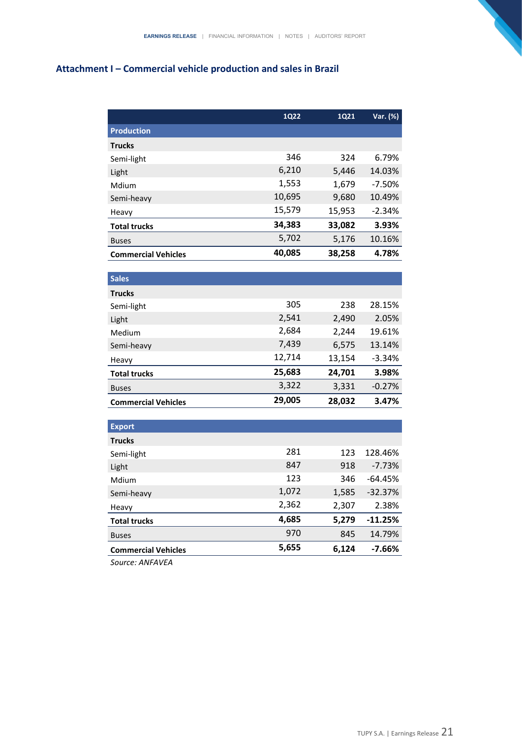# **Attachment I – Commercial vehicle production and sales in Brazil**

|                            | <b>1Q22</b> | 1Q21   | Var. (%)  |
|----------------------------|-------------|--------|-----------|
| <b>Production</b>          |             |        |           |
| <b>Trucks</b>              |             |        |           |
| Semi-light                 | 346         | 324    | 6.79%     |
| Light                      | 6,210       | 5,446  | 14.03%    |
| Mdium                      | 1,553       | 1,679  | $-7.50%$  |
| Semi-heavy                 | 10,695      | 9,680  | 10.49%    |
| Heavy                      | 15,579      | 15,953 | $-2.34%$  |
| <b>Total trucks</b>        | 34,383      | 33,082 | 3.93%     |
| <b>Buses</b>               | 5,702       | 5,176  | 10.16%    |
| <b>Commercial Vehicles</b> | 40,085      | 38,258 | 4.78%     |
|                            |             |        |           |
| <b>Sales</b>               |             |        |           |
| <b>Trucks</b>              |             |        |           |
| Semi-light                 | 305         | 238    | 28.15%    |
| Light                      | 2,541       | 2,490  | 2.05%     |
| Medium                     | 2,684       | 2,244  | 19.61%    |
| Semi-heavy                 | 7,439       | 6,575  | 13.14%    |
| Heavy                      | 12,714      | 13,154 | $-3.34%$  |
| <b>Total trucks</b>        | 25,683      | 24,701 | 3.98%     |
| <b>Buses</b>               | 3,322       | 3,331  | $-0.27%$  |
| <b>Commercial Vehicles</b> | 29,005      | 28,032 | 3.47%     |
|                            |             |        |           |
| <b>Export</b>              |             |        |           |
| <b>Trucks</b>              |             |        |           |
| Semi-light                 | 281         | 123    | 128.46%   |
| Light                      | 847         | 918    | $-7.73%$  |
| Mdium                      | 123         | 346    | $-64.45%$ |
| Semi-heavy                 | 1,072       | 1,585  | $-32.37%$ |
| Heavy                      | 2,362       | 2,307  | 2.38%     |
| <b>Total trucks</b>        | 4,685       | 5,279  | $-11.25%$ |
| <b>Buses</b>               | 970         | 845    | 14.79%    |
| <b>Commercial Vehicles</b> | 5,655       | 6,124  | -7.66%    |

*Source: ANFAVEA*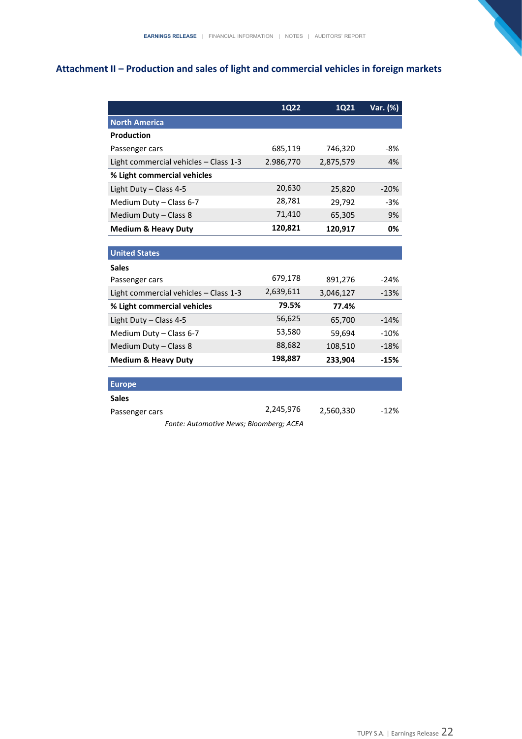# **Attachment II – Production and sales of light and commercial vehicles in foreign markets**

|                                         | <b>1Q22</b> | 1Q21      | Var. (%) |  |  |
|-----------------------------------------|-------------|-----------|----------|--|--|
| <b>North America</b>                    |             |           |          |  |  |
| <b>Production</b>                       |             |           |          |  |  |
| Passenger cars                          | 685,119     | 746,320   | -8%      |  |  |
| Light commercial vehicles - Class 1-3   | 2.986,770   | 2,875,579 | 4%       |  |  |
| % Light commercial vehicles             |             |           |          |  |  |
| Light Duty - Class 4-5                  | 20,630      | 25,820    | $-20%$   |  |  |
| Medium Duty - Class 6-7                 | 28,781      | 29,792    | $-3%$    |  |  |
| Medium Duty - Class 8                   | 71,410      | 65,305    | 9%       |  |  |
| <b>Medium &amp; Heavy Duty</b>          | 120,821     | 120,917   | 0%       |  |  |
|                                         |             |           |          |  |  |
| <b>United States</b>                    |             |           |          |  |  |
| <b>Sales</b>                            |             |           |          |  |  |
| Passenger cars                          | 679,178     | 891,276   | $-24%$   |  |  |
| Light commercial vehicles - Class 1-3   | 2,639,611   | 3,046,127 | $-13%$   |  |  |
| % Light commercial vehicles             | 79.5%       | 77.4%     |          |  |  |
| Light Duty - Class 4-5                  | 56,625      | 65,700    | $-14%$   |  |  |
| Medium Duty - Class 6-7                 | 53,580      | 59,694    | $-10%$   |  |  |
| Medium Duty - Class 8                   | 88,682      | 108,510   | $-18%$   |  |  |
| <b>Medium &amp; Heavy Duty</b>          | 198,887     | 233,904   | $-15%$   |  |  |
|                                         |             |           |          |  |  |
| <b>Europe</b>                           |             |           |          |  |  |
| <b>Sales</b>                            |             |           |          |  |  |
| Passenger cars                          | 2,245,976   | 2,560,330 | $-12%$   |  |  |
| Fonte: Automotive News; Bloomberg; ACEA |             |           |          |  |  |